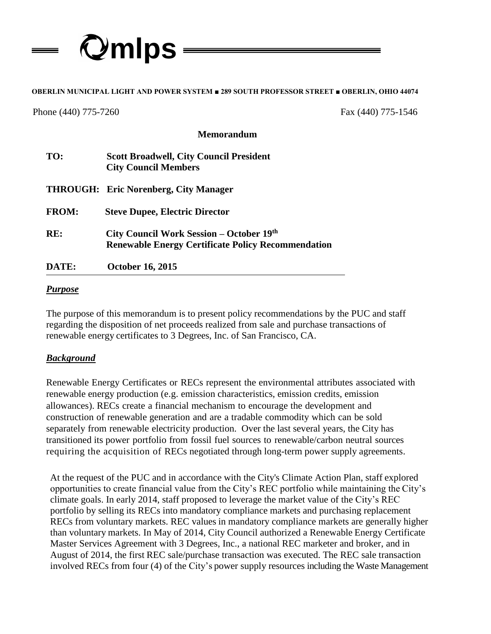

# **OBERLIN MUNICIPAL LIGHT AND POWER SYSTEM ■ 289 SOUTH PROFESSOR STREET ■ OBERLIN, OHIO 44074 s**

Phone (440) 775-7260 Fax (440) 775-1546

#### **Memorandum**

| TO:          | <b>Scott Broadwell, City Council President</b><br><b>City Council Members</b>                         |
|--------------|-------------------------------------------------------------------------------------------------------|
|              | <b>THROUGH: Eric Norenberg, City Manager</b>                                                          |
| <b>FROM:</b> | <b>Steve Dupee, Electric Director</b>                                                                 |
| RE:          | City Council Work Session – October 19th<br><b>Renewable Energy Certificate Policy Recommendation</b> |
| DATE:        | <b>October 16, 2015</b>                                                                               |

#### *Purpose*

The purpose of this memorandum is to present policy recommendations by the PUC and staff regarding the disposition of net proceeds realized from sale and purchase transactions of renewable energy certificates to 3 Degrees, Inc. of San Francisco, CA.

#### *Background*

Renewable Energy Certificates or RECs represent the environmental attributes associated with renewable energy production (e.g. emission characteristics, emission credits, emission allowances). RECs create a financial mechanism to encourage the development and construction of renewable generation and are a tradable commodity which can be sold separately from renewable electricity production. Over the last several years, the City has transitioned its power portfolio from fossil fuel sources to renewable/carbon neutral sources requiring the acquisition of RECs negotiated through long-term power supply agreements.

At the request of the PUC and in accordance with the City's Climate Action Plan, staff explored opportunities to create financial value from the City's REC portfolio while maintaining the City's climate goals. In early 2014, staff proposed to leverage the market value of the City's REC portfolio by selling its RECs into mandatory compliance markets and purchasing replacement RECs from voluntary markets. REC values in mandatory compliance markets are generally higher than voluntary markets. In May of 2014, City Council authorized a Renewable Energy Certificate Master Services Agreement with 3 Degrees, Inc., a national REC marketer and broker, and in August of 2014, the first REC sale/purchase transaction was executed. The REC sale transaction involved RECs from four (4) of the City's power supply resources including the Waste Management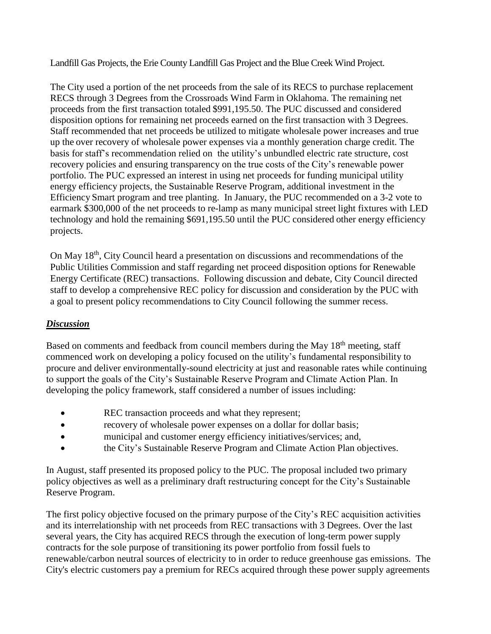Landfill Gas Projects, the Erie County Landfill Gas Project and the Blue Creek Wind Project.

The City used a portion of the net proceeds from the sale of its RECS to purchase replacement RECS through 3 Degrees from the Crossroads Wind Farm in Oklahoma. The remaining net proceeds from the first transaction totaled \$991,195.50. The PUC discussed and considered disposition options for remaining net proceeds earned on the first transaction with 3 Degrees. Staff recommended that net proceeds be utilized to mitigate wholesale power increases and true up the over recovery of wholesale power expenses via a monthly generation charge credit. The basis for staff's recommendation relied on the utility's unbundled electric rate structure, cost recovery policies and ensuring transparency on the true costs of the City's renewable power portfolio. The PUC expressed an interest in using net proceeds for funding municipal utility energy efficiency projects, the Sustainable Reserve Program, additional investment in the Efficiency Smart program and tree planting. In January, the PUC recommended on a 3-2 vote to earmark \$300,000 of the net proceeds to re-lamp as many municipal street light fixtures with LED technology and hold the remaining \$691,195.50 until the PUC considered other energy efficiency projects.

On May 18th, City Council heard a presentation on discussions and recommendations of the Public Utilities Commission and staff regarding net proceed disposition options for Renewable Energy Certificate (REC) transactions. Following discussion and debate, City Council directed staff to develop a comprehensive REC policy for discussion and consideration by the PUC with a goal to present policy recommendations to City Council following the summer recess.

# *Discussion*

Based on comments and feedback from council members during the May 18<sup>th</sup> meeting, staff commenced work on developing a policy focused on the utility's fundamental responsibility to procure and deliver environmentally-sound electricity at just and reasonable rates while continuing to support the goals of the City's Sustainable Reserve Program and Climate Action Plan. In developing the policy framework, staff considered a number of issues including:

- REC transaction proceeds and what they represent;
- recovery of wholesale power expenses on a dollar for dollar basis;
- municipal and customer energy efficiency initiatives/services; and,
- the City's Sustainable Reserve Program and Climate Action Plan objectives.

In August, staff presented its proposed policy to the PUC. The proposal included two primary policy objectives as well as a preliminary draft restructuring concept for the City's Sustainable Reserve Program.

The first policy objective focused on the primary purpose of the City's REC acquisition activities and its interrelationship with net proceeds from REC transactions with 3 Degrees. Over the last several years, the City has acquired RECS through the execution of long-term power supply contracts for the sole purpose of transitioning its power portfolio from fossil fuels to renewable/carbon neutral sources of electricity to in order to reduce greenhouse gas emissions. The City's electric customers pay a premium for RECs acquired through these power supply agreements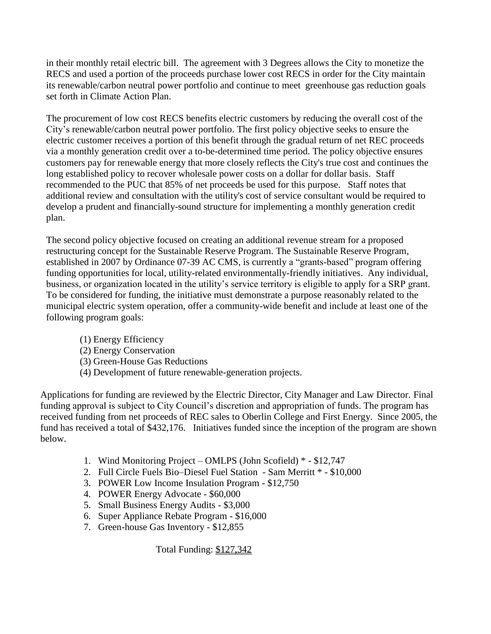in their monthly retail electric bill. The agreement with 3 Degrees allows the City to monetize the RECS and used a portion of the proceeds purchase lower cost RECS in order for the City maintain its renewable/carbon neutral power portfolio and continue to meet greenhouse gas reduction goals set forth in Climate Action Plan.

The procurement of low cost RECS benefits electric customers by reducing the overall cost of the City's renewable/carbon neutral power portfolio. The first policy objective seeks to ensure the electric customer receives a portion of this benefit through the gradual return of net REC proceeds via a monthly generation credit over a to-be-determined time period. The policy objective ensures customers pay for renewable energy that more closely reflects the City's true cost and continues the long established policy to recover wholesale power costs on a dollar for dollar basis. Staff recommended to the PUC that 85% of net proceeds be used for this purpose. Staff notes that additional review and consultation with the utility's cost of service consultant would be required to develop a prudent and financially-sound structure for implementing a monthly generation credit plan.

The second policy objective focused on creating an additional revenue stream for a proposed restructuring concept for the Sustainable Reserve Program. The Sustainable Reserve Program, established in 2007 by Ordinance 07-39 AC CMS, is currently a "grants-based" program offering funding opportunities for local, utility-related environmentally-friendly initiatives. Any individual, business, or organization located in the utility's service territory is eligible to apply for a SRP grant. To be considered for funding, the initiative must demonstrate a purpose reasonably related to the municipal electric system operation, offer a community-wide benefit and include at least one of the following program goals:

- (1) Energy Efficiency
- (2) Energy Conservation
- (3) Green-House Gas Reductions
- (4) Development of future renewable-generation projects.

Applications for funding are reviewed by the Electric Director, City Manager and Law Director. Final funding approval is subject to City Council's discretion and appropriation of funds. The program has received funding from net proceeds of REC sales to Oberlin College and First Energy. Since 2005, the fund has received a total of \$432,176. Initiatives funded since the inception of the program are shown below.

- 1. Wind Monitoring Project OMLPS (John Scofield) \* \$12,747
- 2. Full Circle Fuels Bio–Diesel Fuel Station Sam Merritt \* \$10,000
- 3. POWER Low Income Insulation Program \$12,750
- 4. POWER Energy Advocate \$60,000
- 5. Small Business Energy Audits \$3,000
- 6. Super Appliance Rebate Program \$16,000
- 7. Green-house Gas Inventory \$12,855

Total Funding: \$127,342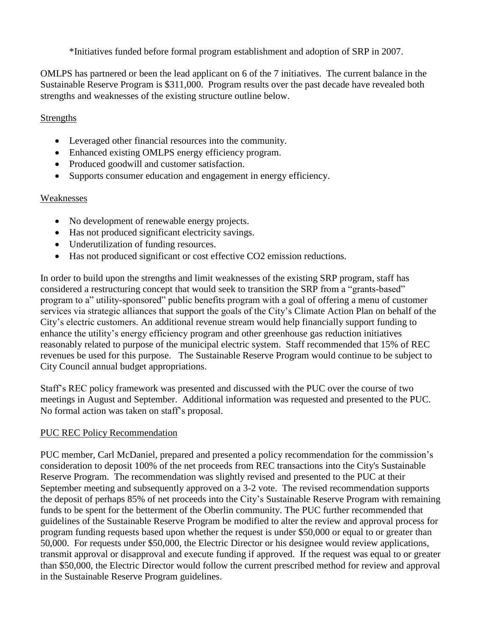\*Initiatives funded before formal program establishment and adoption of SRP in 2007.

OMLPS has partnered or been the lead applicant on 6 of the 7 initiatives. The current balance in the Sustainable Reserve Program is \$311,000. Program results over the past decade have revealed both strengths and weaknesses of the existing structure outline below.

# **Strengths**

- Leveraged other financial resources into the community.
- Enhanced existing OMLPS energy efficiency program.
- Produced goodwill and customer satisfaction.
- Supports consumer education and engagement in energy efficiency.

# Weaknesses

- No development of renewable energy projects.
- Has not produced significant electricity savings.
- Underutilization of funding resources.
- Has not produced significant or cost effective CO2 emission reductions.

In order to build upon the strengths and limit weaknesses of the existing SRP program, staff has considered a restructuring concept that would seek to transition the SRP from a "grants-based" program to a" utility-sponsored" public benefits program with a goal of offering a menu of customer services via strategic alliances that support the goals of the City's Climate Action Plan on behalf of the City's electric customers. An additional revenue stream would help financially support funding to enhance the utility's energy efficiency program and other greenhouse gas reduction initiatives reasonably related to purpose of the municipal electric system. Staff recommended that 15% of REC revenues be used for this purpose. The Sustainable Reserve Program would continue to be subject to City Council annual budget appropriations.

Staff's REC policy framework was presented and discussed with the PUC over the course of two meetings in August and September. Additional information was requested and presented to the PUC. No formal action was taken on staff's proposal.

# PUC REC Policy Recommendation

PUC member, Carl McDaniel, prepared and presented a policy recommendation for the commission's consideration to deposit 100% of the net proceeds from REC transactions into the City's Sustainable Reserve Program. The recommendation was slightly revised and presented to the PUC at their September meeting and subsequently approved on a 3-2 vote. The revised recommendation supports the deposit of perhaps 85% of net proceeds into the City's Sustainable Reserve Program with remaining funds to be spent for the betterment of the Oberlin community. The PUC further recommended that guidelines of the Sustainable Reserve Program be modified to alter the review and approval process for program funding requests based upon whether the request is under \$50,000 or equal to or greater than 50,000. For requests under \$50,000, the Electric Director or his designee would review applications, transmit approval or disapproval and execute funding if approved. If the request was equal to or greater than \$50,000, the Electric Director would follow the current prescribed method for review and approval in the Sustainable Reserve Program guidelines.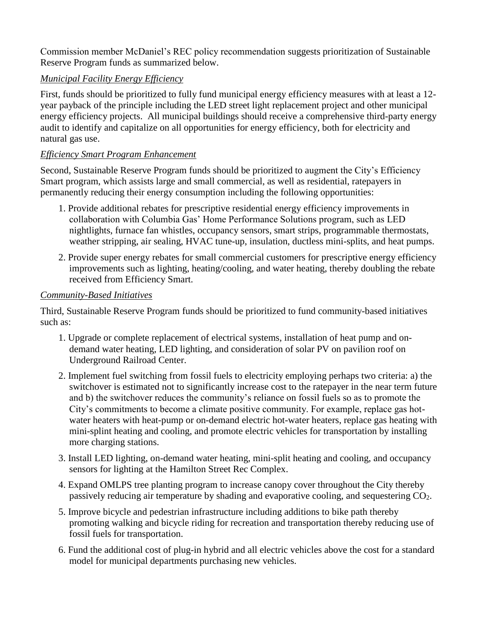Commission member McDaniel's REC policy recommendation suggests prioritization of Sustainable Reserve Program funds as summarized below.

# *Municipal Facility Energy Efficiency*

First, funds should be prioritized to fully fund municipal energy efficiency measures with at least a 12 year payback of the principle including the LED street light replacement project and other municipal energy efficiency projects. All municipal buildings should receive a comprehensive third-party energy audit to identify and capitalize on all opportunities for energy efficiency, both for electricity and natural gas use.

# *Efficiency Smart Program Enhancement*

Second, Sustainable Reserve Program funds should be prioritized to augment the City's Efficiency Smart program, which assists large and small commercial, as well as residential, ratepayers in permanently reducing their energy consumption including the following opportunities:

- 1. Provide additional rebates for prescriptive residential energy efficiency improvements in collaboration with Columbia Gas' Home Performance Solutions program, such as LED nightlights, furnace fan whistles, occupancy sensors, smart strips, programmable thermostats, weather stripping, air sealing, HVAC tune-up, insulation, ductless mini-splits, and heat pumps.
- 2. Provide super energy rebates for small commercial customers for prescriptive energy efficiency improvements such as lighting, heating/cooling, and water heating, thereby doubling the rebate received from Efficiency Smart.

# *Community-Based Initiatives*

Third, Sustainable Reserve Program funds should be prioritized to fund community-based initiatives such as:

- 1. Upgrade or complete replacement of electrical systems, installation of heat pump and ondemand water heating, LED lighting, and consideration of solar PV on pavilion roof on Underground Railroad Center.
- 2. Implement fuel switching from fossil fuels to electricity employing perhaps two criteria: a) the switchover is estimated not to significantly increase cost to the ratepayer in the near term future and b) the switchover reduces the community's reliance on fossil fuels so as to promote the City's commitments to become a climate positive community. For example, replace gas hotwater heaters with heat-pump or on-demand electric hot-water heaters, replace gas heating with mini-splint heating and cooling, and promote electric vehicles for transportation by installing more charging stations.
- 3. Install LED lighting, on-demand water heating, mini-split heating and cooling, and occupancy sensors for lighting at the Hamilton Street Rec Complex.
- 4. Expand OMLPS tree planting program to increase canopy cover throughout the City thereby passively reducing air temperature by shading and evaporative cooling, and sequestering CO2.
- 5. Improve bicycle and pedestrian infrastructure including additions to bike path thereby promoting walking and bicycle riding for recreation and transportation thereby reducing use of fossil fuels for transportation.
- 6. Fund the additional cost of plug-in hybrid and all electric vehicles above the cost for a standard model for municipal departments purchasing new vehicles.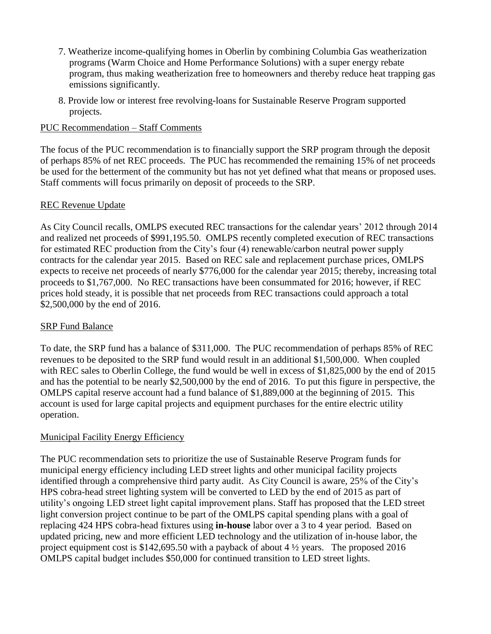- 7. Weatherize income-qualifying homes in Oberlin by combining Columbia Gas weatherization programs (Warm Choice and Home Performance Solutions) with a super energy rebate program, thus making weatherization free to homeowners and thereby reduce heat trapping gas emissions significantly.
- 8. Provide low or interest free revolving-loans for Sustainable Reserve Program supported projects.

## PUC Recommendation – Staff Comments

The focus of the PUC recommendation is to financially support the SRP program through the deposit of perhaps 85% of net REC proceeds. The PUC has recommended the remaining 15% of net proceeds be used for the betterment of the community but has not yet defined what that means or proposed uses. Staff comments will focus primarily on deposit of proceeds to the SRP.

### REC Revenue Update

As City Council recalls, OMLPS executed REC transactions for the calendar years' 2012 through 2014 and realized net proceeds of \$991,195.50. OMLPS recently completed execution of REC transactions for estimated REC production from the City's four (4) renewable/carbon neutral power supply contracts for the calendar year 2015. Based on REC sale and replacement purchase prices, OMLPS expects to receive net proceeds of nearly \$776,000 for the calendar year 2015; thereby, increasing total proceeds to \$1,767,000. No REC transactions have been consummated for 2016; however, if REC prices hold steady, it is possible that net proceeds from REC transactions could approach a total \$2,500,000 by the end of 2016.

# SRP Fund Balance

To date, the SRP fund has a balance of \$311,000. The PUC recommendation of perhaps 85% of REC revenues to be deposited to the SRP fund would result in an additional \$1,500,000. When coupled with REC sales to Oberlin College, the fund would be well in excess of \$1,825,000 by the end of 2015 and has the potential to be nearly \$2,500,000 by the end of 2016. To put this figure in perspective, the OMLPS capital reserve account had a fund balance of \$1,889,000 at the beginning of 2015. This account is used for large capital projects and equipment purchases for the entire electric utility operation.

# Municipal Facility Energy Efficiency

The PUC recommendation sets to prioritize the use of Sustainable Reserve Program funds for municipal energy efficiency including LED street lights and other municipal facility projects identified through a comprehensive third party audit. As City Council is aware, 25% of the City's HPS cobra-head street lighting system will be converted to LED by the end of 2015 as part of utility's ongoing LED street light capital improvement plans. Staff has proposed that the LED street light conversion project continue to be part of the OMLPS capital spending plans with a goal of replacing 424 HPS cobra-head fixtures using **in-house** labor over a 3 to 4 year period. Based on updated pricing, new and more efficient LED technology and the utilization of in-house labor, the project equipment cost is \$142,695.50 with a payback of about 4 ½ years. The proposed 2016 OMLPS capital budget includes \$50,000 for continued transition to LED street lights.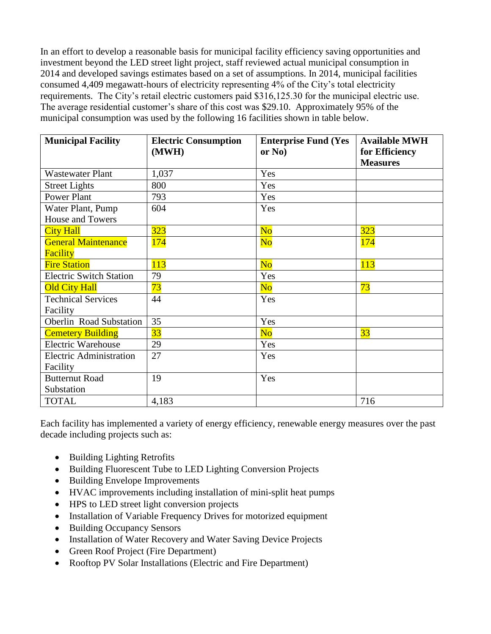In an effort to develop a reasonable basis for municipal facility efficiency saving opportunities and investment beyond the LED street light project, staff reviewed actual municipal consumption in 2014 and developed savings estimates based on a set of assumptions. In 2014, municipal facilities consumed 4,409 megawatt-hours of electricity representing 4% of the City's total electricity requirements. The City's retail electric customers paid \$316,125.30 for the municipal electric use. The average residential customer's share of this cost was \$29.10. Approximately 95% of the municipal consumption was used by the following 16 facilities shown in table below.

| <b>Municipal Facility</b>      | <b>Electric Consumption</b><br>(MWH) | <b>Enterprise Fund (Yes</b><br>or $No)$ | <b>Available MWH</b><br>for Efficiency |
|--------------------------------|--------------------------------------|-----------------------------------------|----------------------------------------|
|                                |                                      |                                         | <b>Measures</b>                        |
| <b>Wastewater Plant</b>        | 1,037                                | Yes                                     |                                        |
| <b>Street Lights</b>           | 800                                  | Yes                                     |                                        |
| <b>Power Plant</b>             | 793                                  | Yes                                     |                                        |
| Water Plant, Pump              | 604                                  | Yes                                     |                                        |
| <b>House and Towers</b>        |                                      |                                         |                                        |
| <b>City Hall</b>               | 323                                  | No                                      | 323                                    |
| <b>General Maintenance</b>     | <b>174</b>                           | $\overline{\text{No}}$                  | <b>174</b>                             |
| Facility                       |                                      |                                         |                                        |
| <b>Fire Station</b>            | 113                                  | $\overline{\text{No}}$                  | 113                                    |
| <b>Electric Switch Station</b> | 79                                   | Yes                                     |                                        |
| <b>Old City Hall</b>           | 73                                   | N <sub>o</sub>                          | 73                                     |
| <b>Technical Services</b>      | 44                                   | Yes                                     |                                        |
| Facility                       |                                      |                                         |                                        |
| <b>Oberlin Road Substation</b> | 35                                   | Yes                                     |                                        |
| <b>Cemetery Building</b>       | 33                                   | $\overline{\text{No}}$                  | 33                                     |
| <b>Electric Warehouse</b>      | 29                                   | Yes                                     |                                        |
| <b>Electric Administration</b> | 27                                   | Yes                                     |                                        |
| Facility                       |                                      |                                         |                                        |
| <b>Butternut Road</b>          | 19                                   | Yes                                     |                                        |
| Substation                     |                                      |                                         |                                        |
| <b>TOTAL</b>                   | 4,183                                |                                         | 716                                    |

Each facility has implemented a variety of energy efficiency, renewable energy measures over the past decade including projects such as:

- Building Lighting Retrofits
- Building Fluorescent Tube to LED Lighting Conversion Projects
- Building Envelope Improvements
- HVAC improvements including installation of mini-split heat pumps
- HPS to LED street light conversion projects
- Installation of Variable Frequency Drives for motorized equipment
- Building Occupancy Sensors
- Installation of Water Recovery and Water Saving Device Projects
- Green Roof Project (Fire Department)
- Rooftop PV Solar Installations (Electric and Fire Department)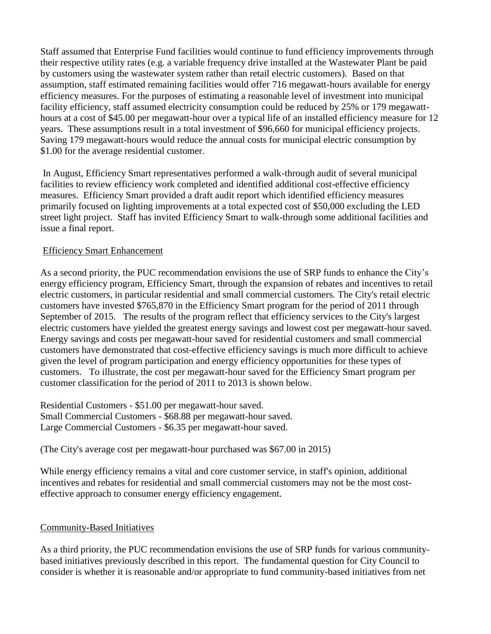Staff assumed that Enterprise Fund facilities would continue to fund efficiency improvements through their respective utility rates (e.g. a variable frequency drive installed at the Wastewater Plant be paid by customers using the wastewater system rather than retail electric customers). Based on that assumption, staff estimated remaining facilities would offer 716 megawatt-hours available for energy efficiency measures. For the purposes of estimating a reasonable level of investment into municipal facility efficiency, staff assumed electricity consumption could be reduced by 25% or 179 megawatthours at a cost of \$45.00 per megawatt-hour over a typical life of an installed efficiency measure for 12 years. These assumptions result in a total investment of \$96,660 for municipal efficiency projects. Saving 179 megawatt-hours would reduce the annual costs for municipal electric consumption by \$1.00 for the average residential customer.

In August, Efficiency Smart representatives performed a walk-through audit of several municipal facilities to review efficiency work completed and identified additional cost-effective efficiency measures. Efficiency Smart provided a draft audit report which identified efficiency measures primarily focused on lighting improvements at a total expected cost of \$50,000 excluding the LED street light project. Staff has invited Efficiency Smart to walk-through some additional facilities and issue a final report.

# Efficiency Smart Enhancement

As a second priority, the PUC recommendation envisions the use of SRP funds to enhance the City's energy efficiency program, Efficiency Smart, through the expansion of rebates and incentives to retail electric customers, in particular residential and small commercial customers. The City's retail electric customers have invested \$765,870 in the Efficiency Smart program for the period of 2011 through September of 2015. The results of the program reflect that efficiency services to the City's largest electric customers have yielded the greatest energy savings and lowest cost per megawatt-hour saved. Energy savings and costs per megawatt-hour saved for residential customers and small commercial customers have demonstrated that cost-effective efficiency savings is much more difficult to achieve given the level of program participation and energy efficiency opportunities for these types of customers. To illustrate, the cost per megawatt-hour saved for the Efficiency Smart program per customer classification for the period of 2011 to 2013 is shown below.

Residential Customers - \$51.00 per megawatt-hour saved. Small Commercial Customers - \$68.88 per megawatt-hour saved. Large Commercial Customers - \$6.35 per megawatt-hour saved.

(The City's average cost per megawatt-hour purchased was \$67.00 in 2015)

While energy efficiency remains a vital and core customer service, in staff's opinion, additional incentives and rebates for residential and small commercial customers may not be the most costeffective approach to consumer energy efficiency engagement.

#### Community-Based Initiatives

As a third priority, the PUC recommendation envisions the use of SRP funds for various communitybased initiatives previously described in this report. The fundamental question for City Council to consider is whether it is reasonable and/or appropriate to fund community-based initiatives from net